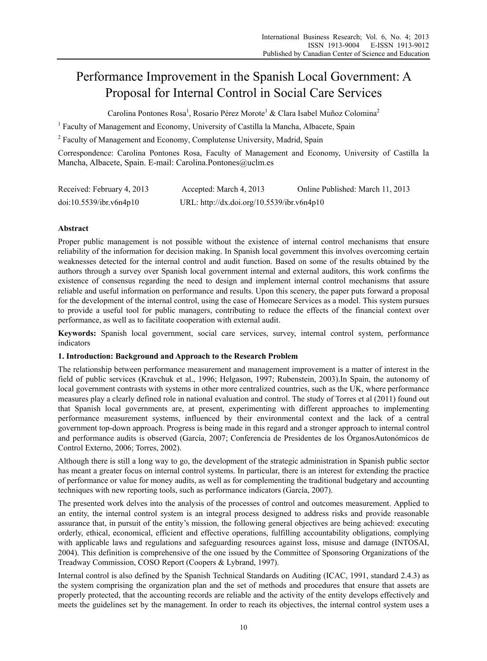# Performance Improvement in the Spanish Local Government: A Proposal for Internal Control in Social Care Services

Carolina Pontones Rosa<sup>1</sup>, Rosario Pérez Morote<sup>1</sup> & Clara Isabel Muñoz Colomina<sup>2</sup>

<sup>1</sup> Faculty of Management and Economy, University of Castilla la Mancha, Albacete, Spain

<sup>2</sup> Faculty of Management and Economy, Complutense University, Madrid, Spain

Correspondence: Carolina Pontones Rosa, Faculty of Management and Economy, University of Castilla la Mancha, Albacete, Spain. E-mail: Carolina.Pontones@uclm.es

| Received: February 4, 2013 | Accepted: March 4, 2013                    | Online Published: March 11, 2013 |
|----------------------------|--------------------------------------------|----------------------------------|
| doi:10.5539/ibr.v6n4p10    | URL: http://dx.doi.org/10.5539/ibr.v6n4p10 |                                  |

# **Abstract**

Proper public management is not possible without the existence of internal control mechanisms that ensure reliability of the information for decision making. In Spanish local government this involves overcoming certain weaknesses detected for the internal control and audit function. Based on some of the results obtained by the authors through a survey over Spanish local government internal and external auditors, this work confirms the existence of consensus regarding the need to design and implement internal control mechanisms that assure reliable and useful information on performance and results. Upon this scenery, the paper puts forward a proposal for the development of the internal control, using the case of Homecare Services as a model. This system pursues to provide a useful tool for public managers, contributing to reduce the effects of the financial context over performance, as well as to facilitate cooperation with external audit.

**Keywords:** Spanish local government, social care services, survey, internal control system, performance indicators

### **1. Introduction: Background and Approach to the Research Problem**

The relationship between performance measurement and management improvement is a matter of interest in the field of public services (Kravchuk et al., 1996; Helgason, 1997; Rubenstein, 2003).In Spain, the autonomy of local government contrasts with systems in other more centralized countries, such as the UK, where performance measures play a clearly defined role in national evaluation and control. The study of Torres et al (2011) found out that Spanish local governments are, at present, experimenting with different approaches to implementing performance measurement systems, influenced by their environmental context and the lack of a central government top-down approach. Progress is being made in this regard and a stronger approach to internal control and performance audits is observed (García, 2007; Conferencia de Presidentes de los ÓrganosAutonómicos de Control Externo, 2006; Torres, 2002).

Although there is still a long way to go, the development of the strategic administration in Spanish public sector has meant a greater focus on internal control systems. In particular, there is an interest for extending the practice of performance or value for money audits, as well as for complementing the traditional budgetary and accounting techniques with new reporting tools, such as performance indicators (García, 2007).

The presented work delves into the analysis of the processes of control and outcomes measurement. Applied to an entity, the internal control system is an integral process designed to address risks and provide reasonable assurance that, in pursuit of the entity's mission, the following general objectives are being achieved: executing orderly, ethical, economical, efficient and effective operations, fulfilling accountability obligations, complying with applicable laws and regulations and safeguarding resources against loss, misuse and damage (INTOSAI, 2004). This definition is comprehensive of the one issued by the Committee of Sponsoring Organizations of the Treadway Commission, COSO Report (Coopers & Lybrand, 1997).

Internal control is also defined by the Spanish Technical Standards on Auditing (ICAC, 1991, standard 2.4.3) as the system comprising the organization plan and the set of methods and procedures that ensure that assets are properly protected, that the accounting records are reliable and the activity of the entity develops effectively and meets the guidelines set by the management. In order to reach its objectives, the internal control system uses a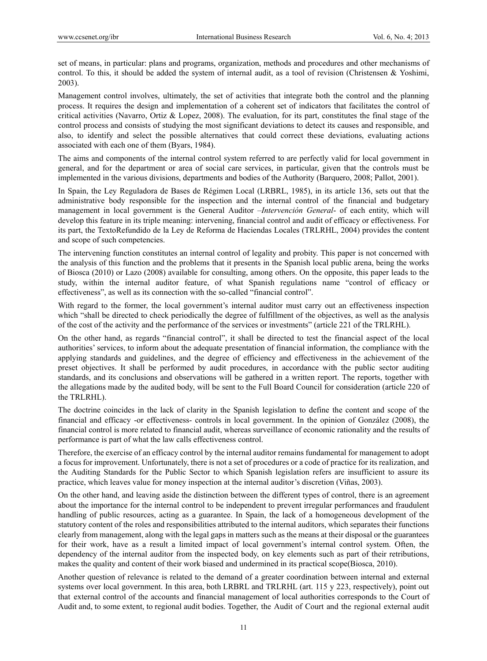set of means, in particular: plans and programs, organization, methods and procedures and other mechanisms of control. To this, it should be added the system of internal audit, as a tool of revision (Christensen & Yoshimi, 2003).

Management control involves, ultimately, the set of activities that integrate both the control and the planning process. It requires the design and implementation of a coherent set of indicators that facilitates the control of critical activities (Navarro, Ortiz & Lopez, 2008). The evaluation, for its part, constitutes the final stage of the control process and consists of studying the most significant deviations to detect its causes and responsible, and also, to identify and select the possible alternatives that could correct these deviations, evaluating actions associated with each one of them (Byars, 1984).

The aims and components of the internal control system referred to are perfectly valid for local government in general, and for the department or area of social care services, in particular, given that the controls must be implemented in the various divisions, departments and bodies of the Authority (Barquero, 2008; Pallot, 2001).

In Spain, the Ley Reguladora de Bases de Régimen Local (LRBRL, 1985), in its article 136, sets out that the administrative body responsible for the inspection and the internal control of the financial and budgetary management in local government is the General Auditor –*Intervención General*- of each entity, which will develop this feature in its triple meaning: intervening, financial control and audit of efficacy or effectiveness. For its part, the TextoRefundido de la Ley de Reforma de Haciendas Locales (TRLRHL, 2004) provides the content and scope of such competencies.

The intervening function constitutes an internal control of legality and probity. This paper is not concerned with the analysis of this function and the problems that it presents in the Spanish local public arena, being the works of Biosca (2010) or Lazo (2008) available for consulting, among others. On the opposite, this paper leads to the study, within the internal auditor feature, of what Spanish regulations name "control of efficacy or effectiveness", as well as its connection with the so-called "financial control".

With regard to the former, the local government's internal auditor must carry out an effectiveness inspection which "shall be directed to check periodically the degree of fulfillment of the objectives, as well as the analysis of the cost of the activity and the performance of the services or investments" (article 221 of the TRLRHL).

On the other hand, as regards "financial control", it shall be directed to test the financial aspect of the local authorities' services, to inform about the adequate presentation of financial information, the compliance with the applying standards and guidelines, and the degree of efficiency and effectiveness in the achievement of the preset objectives. It shall be performed by audit procedures, in accordance with the public sector auditing standards, and its conclusions and observations will be gathered in a written report. The reports, together with the allegations made by the audited body, will be sent to the Full Board Council for consideration (article 220 of the TRLRHL).

The doctrine coincides in the lack of clarity in the Spanish legislation to define the content and scope of the financial and efficacy -or effectiveness- controls in local government. In the opinion of González (2008), the financial control is more related to financial audit, whereas surveillance of economic rationality and the results of performance is part of what the law calls effectiveness control.

Therefore, the exercise of an efficacy control by the internal auditor remains fundamental for management to adopt a focus for improvement. Unfortunately, there is not a set of procedures or a code of practice for its realization, and the Auditing Standards for the Public Sector to which Spanish legislation refers are insufficient to assure its practice, which leaves value for money inspection at the internal auditor's discretion (Viñas, 2003).

On the other hand, and leaving aside the distinction between the different types of control, there is an agreement about the importance for the internal control to be independent to prevent irregular performances and fraudulent handling of public resources, acting as a guarantee. In Spain, the lack of a homogeneous development of the statutory content of the roles and responsibilities attributed to the internal auditors, which separates their functions clearly from management, along with the legal gaps in matters such as the means at their disposal or the guarantees for their work, have as a result a limited impact of local government's internal control system. Often, the dependency of the internal auditor from the inspected body, on key elements such as part of their retributions, makes the quality and content of their work biased and undermined in its practical scope(Biosca, 2010).

Another question of relevance is related to the demand of a greater coordination between internal and external systems over local government. In this area, both LRBRL and TRLRHL (art. 115 y 223, respectively), point out that external control of the accounts and financial management of local authorities corresponds to the Court of Audit and, to some extent, to regional audit bodies. Together, the Audit of Court and the regional external audit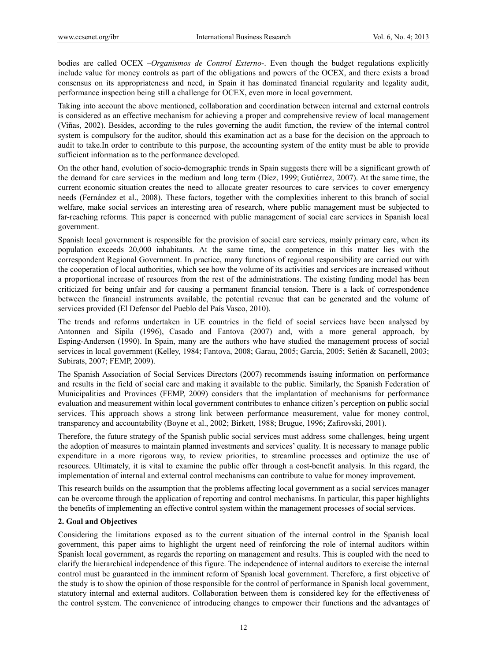bodies are called OCEX –*Organismos de Control Externo*-. Even though the budget regulations explicitly include value for money controls as part of the obligations and powers of the OCEX, and there exists a broad consensus on its appropriateness and need, in Spain it has dominated financial regularity and legality audit, performance inspection being still a challenge for OCEX, even more in local government.

Taking into account the above mentioned, collaboration and coordination between internal and external controls is considered as an effective mechanism for achieving a proper and comprehensive review of local management (Viñas, 2002). Besides, according to the rules governing the audit function, the review of the internal control system is compulsory for the auditor, should this examination act as a base for the decision on the approach to audit to take.In order to contribute to this purpose, the accounting system of the entity must be able to provide sufficient information as to the performance developed.

On the other hand, evolution of socio-demographic trends in Spain suggests there will be a significant growth of the demand for care services in the medium and long term (Díez, 1999; Gutiérrez, 2007). At the same time, the current economic situation creates the need to allocate greater resources to care services to cover emergency needs (Fernández et al., 2008). These factors, together with the complexities inherent to this branch of social welfare, make social services an interesting area of research, where public management must be subjected to far-reaching reforms. This paper is concerned with public management of social care services in Spanish local government.

Spanish local government is responsible for the provision of social care services, mainly primary care, when its population exceeds 20,000 inhabitants. At the same time, the competence in this matter lies with the correspondent Regional Government. In practice, many functions of regional responsibility are carried out with the cooperation of local authorities, which see how the volume of its activities and services are increased without a proportional increase of resources from the rest of the administrations. The existing funding model has been criticized for being unfair and for causing a permanent financial tension. There is a lack of correspondence between the financial instruments available, the potential revenue that can be generated and the volume of services provided (El Defensor del Pueblo del País Vasco, 2010).

The trends and reforms undertaken in UE countries in the field of social services have been analysed by Antonnen and Sipila (1996), Casado and Fantova (2007) and, with a more general approach, by Esping-Andersen (1990). In Spain, many are the authors who have studied the management process of social services in local government (Kelley, 1984; Fantova, 2008; Garau, 2005; García, 2005; Setién & Sacanell, 2003; Subirats, 2007; FEMP, 2009).

The Spanish Association of Social Services Directors (2007) recommends issuing information on performance and results in the field of social care and making it available to the public. Similarly, the Spanish Federation of Municipalities and Provinces (FEMP, 2009) considers that the implantation of mechanisms for performance evaluation and measurement within local government contributes to enhance citizen's perception on public social services. This approach shows a strong link between performance measurement, value for money control, transparency and accountability (Boyne et al., 2002; Birkett, 1988; Brugue, 1996; Zafirovski, 2001).

Therefore, the future strategy of the Spanish public social services must address some challenges, being urgent the adoption of measures to maintain planned investments and services' quality. It is necessary to manage public expenditure in a more rigorous way, to review priorities, to streamline processes and optimize the use of resources. Ultimately, it is vital to examine the public offer through a cost-benefit analysis. In this regard, the implementation of internal and external control mechanisms can contribute to value for money improvement.

This research builds on the assumption that the problems affecting local government as a social services manager can be overcome through the application of reporting and control mechanisms. In particular, this paper highlights the benefits of implementing an effective control system within the management processes of social services.

#### **2. Goal and Objectives**

Considering the limitations exposed as to the current situation of the internal control in the Spanish local government, this paper aims to highlight the urgent need of reinforcing the role of internal auditors within Spanish local government, as regards the reporting on management and results. This is coupled with the need to clarify the hierarchical independence of this figure. The independence of internal auditors to exercise the internal control must be guaranteed in the imminent reform of Spanish local government. Therefore, a first objective of the study is to show the opinion of those responsible for the control of performance in Spanish local government, statutory internal and external auditors. Collaboration between them is considered key for the effectiveness of the control system. The convenience of introducing changes to empower their functions and the advantages of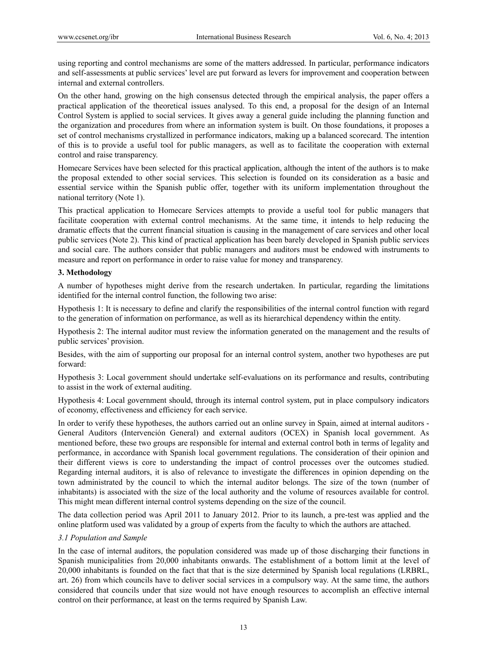using reporting and control mechanisms are some of the matters addressed. In particular, performance indicators and self-assessments at public services' level are put forward as levers for improvement and cooperation between internal and external controllers.

On the other hand, growing on the high consensus detected through the empirical analysis, the paper offers a practical application of the theoretical issues analysed. To this end, a proposal for the design of an Internal Control System is applied to social services. It gives away a general guide including the planning function and the organization and procedures from where an information system is built. On those foundations, it proposes a set of control mechanisms crystallized in performance indicators, making up a balanced scorecard. The intention of this is to provide a useful tool for public managers, as well as to facilitate the cooperation with external control and raise transparency.

Homecare Services have been selected for this practical application, although the intent of the authors is to make the proposal extended to other social services. This selection is founded on its consideration as a basic and essential service within the Spanish public offer, together with its uniform implementation throughout the national territory (Note 1).

This practical application to Homecare Services attempts to provide a useful tool for public managers that facilitate cooperation with external control mechanisms. At the same time, it intends to help reducing the dramatic effects that the current financial situation is causing in the management of care services and other local public services (Note 2). This kind of practical application has been barely developed in Spanish public services and social care. The authors consider that public managers and auditors must be endowed with instruments to measure and report on performance in order to raise value for money and transparency.

#### **3. Methodology**

A number of hypotheses might derive from the research undertaken. In particular, regarding the limitations identified for the internal control function, the following two arise:

Hypothesis 1: It is necessary to define and clarify the responsibilities of the internal control function with regard to the generation of information on performance, as well as its hierarchical dependency within the entity.

Hypothesis 2: The internal auditor must review the information generated on the management and the results of public services' provision.

Besides, with the aim of supporting our proposal for an internal control system, another two hypotheses are put forward:

Hypothesis 3: Local government should undertake self-evaluations on its performance and results, contributing to assist in the work of external auditing.

Hypothesis 4: Local government should, through its internal control system, put in place compulsory indicators of economy, effectiveness and efficiency for each service.

In order to verify these hypotheses, the authors carried out an online survey in Spain, aimed at internal auditors - General Auditors (Intervención General) and external auditors (OCEX) in Spanish local government. As mentioned before, these two groups are responsible for internal and external control both in terms of legality and performance, in accordance with Spanish local government regulations. The consideration of their opinion and their different views is core to understanding the impact of control processes over the outcomes studied. Regarding internal auditors, it is also of relevance to investigate the differences in opinion depending on the town administrated by the council to which the internal auditor belongs. The size of the town (number of inhabitants) is associated with the size of the local authority and the volume of resources available for control. This might mean different internal control systems depending on the size of the council.

The data collection period was April 2011 to January 2012. Prior to its launch, a pre-test was applied and the online platform used was validated by a group of experts from the faculty to which the authors are attached.

#### *3.1 Population and Sample*

In the case of internal auditors, the population considered was made up of those discharging their functions in Spanish municipalities from 20,000 inhabitants onwards. The establishment of a bottom limit at the level of 20,000 inhabitants is founded on the fact that that is the size determined by Spanish local regulations (LRBRL, art. 26) from which councils have to deliver social services in a compulsory way. At the same time, the authors considered that councils under that size would not have enough resources to accomplish an effective internal control on their performance, at least on the terms required by Spanish Law.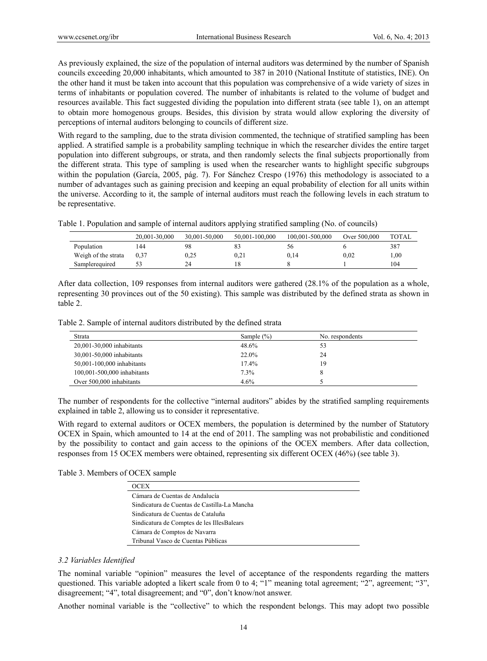As previously explained, the size of the population of internal auditors was determined by the number of Spanish councils exceeding 20,000 inhabitants, which amounted to 387 in 2010 (National Institute of statistics, INE). On the other hand it must be taken into account that this population was comprehensive of a wide variety of sizes in terms of inhabitants or population covered. The number of inhabitants is related to the volume of budget and resources available. This fact suggested dividing the population into different strata (see table 1), on an attempt to obtain more homogenous groups. Besides, this division by strata would allow exploring the diversity of perceptions of internal auditors belonging to councils of different size.

With regard to the sampling, due to the strata division commented, the technique of stratified sampling has been applied. A stratified sample is a probability sampling technique in which the researcher divides the entire target population into different subgroups, or strata, and then randomly selects the final subjects proportionally from the different strata. This type of sampling is used when the researcher wants to highlight specific subgroups within the population (García, 2005, pág. 7). For Sánchez Crespo (1976) this methodology is associated to a number of advantages such as gaining precision and keeping an equal probability of election for all units within the universe. According to it, the sample of internal auditors must reach the following levels in each stratum to be representative.

Table 1. Population and sample of internal auditors applying stratified sampling (No. of councils)

|                     | 20,001-30,000 | 30.001-50.000 | 50.001-100.000 | 100,001-500,000 | Over 500.000 | <b>TOTAL</b> |
|---------------------|---------------|---------------|----------------|-----------------|--------------|--------------|
| Population          | 44            | 98            | 83             | 56              |              | 387          |
| Weigh of the strata | 0.37          | 0.25          | 0.21           | 0.14            | 0.02         | 00.1         |
| Samplerequired      |               | 24            | 18             |                 |              | 104          |

After data collection, 109 responses from internal auditors were gathered (28.1% of the population as a whole, representing 30 provinces out of the 50 existing). This sample was distributed by the defined strata as shown in table 2.

Table 2. Sample of internal auditors distributed by the defined strata

| Strata                      | Sample $(\%)$ | No. respondents |  |
|-----------------------------|---------------|-----------------|--|
| 20,001-30,000 inhabitants   | 48.6%         | 53              |  |
| 30,001-50,000 inhabitants   | 22.0%         | 24              |  |
| 50,001-100,000 inhabitants  | 17.4%         | 19              |  |
| 100,001-500,000 inhabitants | 7.3%          | 8               |  |
| Over 500,000 inhabitants    | $4.6\%$       |                 |  |

The number of respondents for the collective "internal auditors" abides by the stratified sampling requirements explained in table 2, allowing us to consider it representative.

With regard to external auditors or OCEX members, the population is determined by the number of Statutory OCEX in Spain, which amounted to 14 at the end of 2011. The sampling was not probabilistic and conditioned by the possibility to contact and gain access to the opinions of the OCEX members. After data collection, responses from 15 OCEX members were obtained, representing six different OCEX (46%) (see table 3).

Table 3. Members of OCEX sample

| <b>OCEX</b>                                  |
|----------------------------------------------|
| Cámara de Cuentas de Andalucía               |
| Sindicatura de Cuentas de Castilla-La Mancha |
| Sindicatura de Cuentas de Cataluña           |
| Sindicatura de Comptes de les IllesBalears   |
| Cámara de Comptos de Navarra                 |
| Tribunal Vasco de Cuentas Públicas           |

#### *3.2 Variables Identified*

The nominal variable "opinion" measures the level of acceptance of the respondents regarding the matters questioned. This variable adopted a likert scale from 0 to 4; "1" meaning total agreement; "2", agreement; "3", disagreement; "4", total disagreement; and "0", don't know/not answer.

Another nominal variable is the "collective" to which the respondent belongs. This may adopt two possible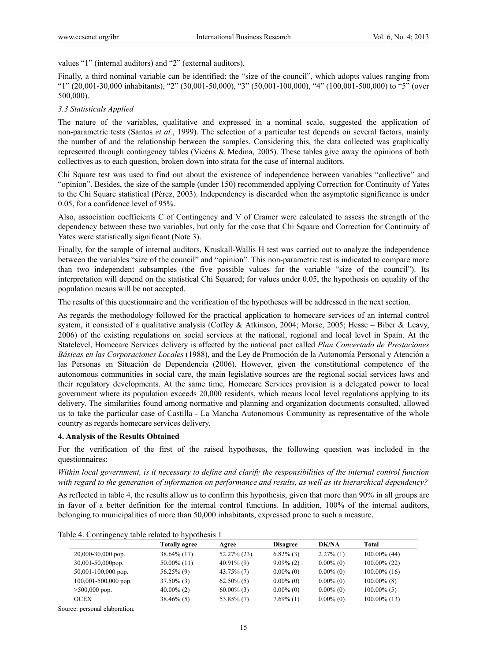values "1" (internal auditors) and "2" (external auditors).

Finally, a third nominal variable can be identified: the "size of the council", which adopts values ranging from "1" (20,001-30,000 inhabitants), "2" (30,001-50,000), "3" (50,001-100,000), "4" (100,001-500,000) to "5" (over 500,000).

# *3.3 Statisticals Applied*

The nature of the variables, qualitative and expressed in a nominal scale, suggested the application of non-parametric tests (Santos *et al.*, 1999). The selection of a particular test depends on several factors, mainly the number of and the relationship between the samples. Considering this, the data collected was graphically represented through contingency tables (Vicéns & Medina, 2005). These tables give away the opinions of both collectives as to each question, broken down into strata for the case of internal auditors.

Chi Square test was used to find out about the existence of independence between variables "collective" and "opinion". Besides, the size of the sample (under 150) recommended applying Correction for Continuity of Yates to the Chi Square statistical (Pérez, 2003). Independency is discarded when the asymptotic significance is under 0.05, for a confidence level of 95%.

Also, association coefficients C of Contingency and V of Cramer were calculated to assess the strength of the dependency between these two variables, but only for the case that Chi Square and Correction for Continuity of Yates were statistically significant (Note 3).

Finally, for the sample of internal auditors, Kruskall-Wallis H test was carried out to analyze the independence between the variables "size of the council" and "opinion". This non-parametric test is indicated to compare more than two independent subsamples (the five possible values for the variable "size of the council"). Its interpretation will depend on the statistical Chi Squared; for values under 0.05, the hypothesis on equality of the population means will be not accepted.

The results of this questionnaire and the verification of the hypotheses will be addressed in the next section.

As regards the methodology followed for the practical application to homecare services of an internal control system, it consisted of a qualitative analysis (Coffey & Atkinson, 2004; Morse, 2005; Hesse – Biber & Leavy, 2006) of the existing regulations on social services at the national, regional and local level in Spain. At the Statelevel, Homecare Services delivery is affected by the national pact called *Plan Concertado de Prestaciones Básicas en las Corporaciones Locales* (1988), and the Ley de Promoción de la Autonomía Personal y Atención a las Personas en Situación de Dependencia (2006). However, given the constitutional competence of the autonomous communities in social care, the main legislative sources are the regional social services laws and their regulatory developments. At the same time, Homecare Services provision is a delegated power to local government where its population exceeds 20,000 residents, which means local level regulations applying to its delivery. The similarities found among normative and planning and organization documents consulted, allowed us to take the particular case of Castilla - La Mancha Autonomous Community as representative of the whole country as regards homecare services delivery.

#### **4. Analysis of the Results Obtained**

For the verification of the first of the raised hypotheses, the following question was included in the questionnaires:

*Within local government, is it necessary to define and clarify the responsibilities of the internal control function with regard to the generation of information on performance and results, as well as its hierarchical dependency?* 

As reflected in table 4, the results allow us to confirm this hypothesis, given that more than 90% in all groups are in favor of a better definition for the internal control functions. In addition, 100% of the internal auditors, belonging to municipalities of more than 50,000 inhabitants, expressed prone to such a measure.

|                         | <b>Totally agree</b> | Agree         | <b>Disagree</b> | <b>DK/NA</b> | Total           |
|-------------------------|----------------------|---------------|-----------------|--------------|-----------------|
| $20,000-30,000$ pop.    | $38.64\%$ (17)       | 52.27% (23)   | $6.82\%$ (3)    | $2.27\%$ (1) | $100.00\%$ (44) |
| 30,001-50,000pop.       | $50.00\%$ (11)       | $40.91\%$ (9) | $9.09\%$ (2)    | $0.00\%$ (0) | $100.00\%$ (22) |
| $50,001 - 100,000$ pop. | $56.25\%$ (9)        | $43.75\%$ (7) | $0.00\%$ (0)    | $0.00\%$ (0) | $100.00\%$ (16) |
| $100,001-500,000$ pop.  | $37.50\%$ (3)        | $62.50\%$ (5) | $0.00\%$ (0)    | $0.00\%$ (0) | $100.00\%$ (8)  |
| $>500,000$ pop.         | $40.00\%$ (2)        | $60.00\%$ (3) | $0.00\%$ (0)    | $0.00\%$ (0) | $100.00\%$ (5)  |
| <b>OCEX</b>             | $38.46\%$ (5)        | $53.85\%$ (7) | $7.69\%$ (1)    | $0.00\%$ (0) | $100.00\%$ (13) |

Table 4. Contingency table related to hypothesis 1

Source: personal elaboration.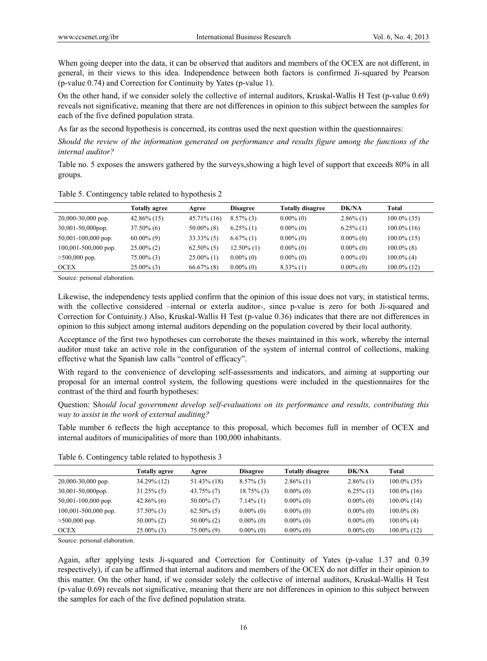When going deeper into the data, it can be observed that auditors and members of the OCEX are not different, in general, in their views to this idea. Independence between both factors is confirmed Ji-squared by Pearson (p-value 0.74) and Correction for Continuity by Yates (p-value 1).

On the other hand, if we consider solely the collective of internal auditors, Kruskal-Wallis H Test (p-value 0.69) reveals not significative, meaning that there are not differences in opinion to this subject between the samples for each of the five defined population strata.

As far as the second hypothesis is concerned, its contras used the next question within the questionnaires:

*Should the review of the information generated on performance and results figure among the functions of the internal auditor?* 

Table no. 5 exposes the answers gathered by the surveys,showing a high level of support that exceeds 80% in all groups.

|                          | Totally agree  | Agree          | <b>Disagree</b> | <b>Totally disagree</b> | <b>DK/NA</b> | Total          |
|--------------------------|----------------|----------------|-----------------|-------------------------|--------------|----------------|
| 20,000-30,000 pop.       | $42.86\%$ (15) | $45.71\%$ (16) | $8.57\%$ (3)    | $0.00\%$ (0)            | $2.86\%$ (1) | $100.0\%$ (35) |
| $30,001 - 50,000$ pop.   | $37.50\%$ (6)  | $50.00\%$ (8)  | $6.25\%$ (1)    | $0.00\%$ (0)            | $6.25\%$ (1) | $100.0\%$ (16) |
| $50,001-100,000$ pop.    | $60.00\%$ (9)  | $33.33\%$ (5)  | $6.67\%$ (1)    | $0.00\%$ (0)            | $0.00\%$ (0) | $100.0\%$ (15) |
| $100,001 - 500,000$ pop. | $25.00\%$ (2)  | $62.50\%$ (5)  | $12.50\%$ (1)   | $0.00\%$ (0)            | $0.00\%$ (0) | $100.0\%$ (8)  |
| $>500,000$ pop.          | $75.00\%$ (3)  | $25.00\%$ (1)  | $0.00\%$ (0)    | $0.00\%$ (0)            | $0.00\%$ (0) | $100.0\%$ (4)  |
| <b>OCEX</b>              | $25.00\%$ (3)  | $66.67\%$ (8)  | $0.00\%$ (0)    | $8.33\%$ (1)            | $0.00\%$ (0) | $100.0\%$ (12) |
|                          |                |                |                 |                         |              |                |

Source: personal elaboration.

Likewise, the independency tests applied confirm that the opinion of this issue does not vary, in statistical terms, with the collective considered –internal or exterla auditor-, since p-value is zero for both Ji-squared and Correction for Contuinity.) Also, Kruskal-Wallis H Test (p-value 0.36) indicates that there are not differences in opinion to this subject among internal auditors depending on the population covered by their local authority.

Acceptance of the first two hypotheses can corroborate the theses maintained in this work, whereby the internal auditor must take an active role in the configuration of the system of internal control of collections, making effective what the Spanish law calls "control of efficacy".

With regard to the convenience of developing self-assessments and indicators, and aiming at supporting our proposal for an internal control system, the following questions were included in the questionnaires for the contrast of the third and fourth hypotheses:

Question: S*hould local government develop self-evaluations on its performance and results, contributing this way to assist in the work of external auditing?* 

Table number 6 reflects the high acceptance to this proposal, which becomes full in member of OCEX and internal auditors of municipalities of more than 100,000 inhabitants.

|                        | <b>Totally agree</b> | Agree         | <b>Disagree</b> | <b>Totally disagree</b> | <b>DK/NA</b> | Total          |  |
|------------------------|----------------------|---------------|-----------------|-------------------------|--------------|----------------|--|
| $20,000-30,000$ pop.   | 34.29% (12)          | 51.43% (18)   | $8.57\%$ (3)    | $2.86\%$ (1)            | $2.86\%$ (1) | $100.0\%$ (35) |  |
| $30,001 - 50,000$ pop. | $31.25\%$ (5)        | $43.75\%$ (7) | $18.75\%$ (3)   | $0.00\%$ (0)            | $6.25\%$ (1) | $100.0\%$ (16) |  |
| $50,001-100,000$ pop.  | $42.86\%$ (6)        | $50.00\%$ (7) | $7.14\%$ (1)    | $0.00\%$ (0)            | $0.00\%$ (0) | $100.0\%$ (14) |  |
| $100,001-500,000$ pop. | $37.50\%$ (3)        | $62.50\%$ (5) | $0.00\%$ (0)    | $0.00\%$ (0)            | $0.00\%$ (0) | $100.0\%$ (8)  |  |
| $>500,000$ pop.        | $50.00\%$ (2)        | $50.00\%$ (2) | $0.00\%$ (0)    | $0.00\%$ (0)            | $0.00\%$ (0) | $100.0\%$ (4)  |  |
| <b>OCEX</b>            | $25.00\%$ (3)        | $75.00\%$ (9) | $0.00\%$ (0)    | $0.00\%$ (0)            | $0.00\%$ (0) | $100.0\%$ (12) |  |

Table 6. Contingency table related to hypothesis 3

Source: personal elaboration.

Again, after applying tests Ji-squared and Correction for Continuity of Yates (p-value 1.37 and 0.39 respectively), if can be affirmed that internal auditors and members of the OCEX do not differ in their opinion to this matter. On the other hand, if we consider solely the collective of internal auditors, Kruskal-Wallis H Test (p-value 0.69) reveals not significative, meaning that there are not differences in opinion to this subject between the samples for each of the five defined population strata.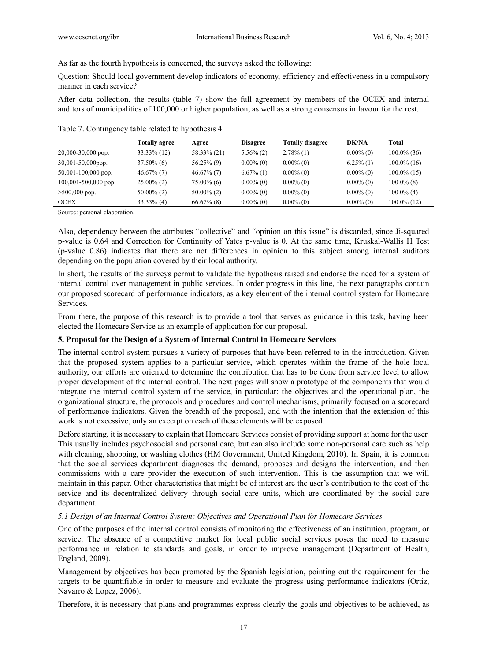As far as the fourth hypothesis is concerned, the surveys asked the following:

Question: Should local government develop indicators of economy, efficiency and effectiveness in a compulsory manner in each service?

After data collection, the results (table 7) show the full agreement by members of the OCEX and internal auditors of municipalities of 100,000 or higher population, as well as a strong consensus in favour for the rest.

|                        | <b>Totally agree</b> | Agree         | <b>Disagree</b> | <b>Totally disagree</b> | <b>DK/NA</b> | Total          |
|------------------------|----------------------|---------------|-----------------|-------------------------|--------------|----------------|
| $20,000-30,000$ pop.   | $33.33\%$ (12)       | 58.33% (21)   | $5.56\%$ (2)    | $2.78\%$ (1)            | $0.00\%$ (0) | $100.0\%$ (36) |
| $30,001 - 50,000$ pop. | $37.50\%$ (6)        | $56.25\%$ (9) | $0.00\%$ (0)    | $0.00\%$ (0)            | $6.25\%$ (1) | $100.0\%$ (16) |
| $50,001-100,000$ pop.  | $46.67\%$ (7)        | $46.67\%$ (7) | $6.67\%$ (1)    | $0.00\%$ (0)            | $0.00\%$ (0) | $100.0\%$ (15) |
| $100,001-500,000$ pop. | $25.00\%$ (2)        | $75.00\%$ (6) | $0.00\%$ (0)    | $0.00\%$ (0)            | $0.00\%$ (0) | $100.0\%$ (8)  |
| $>500,000$ pop.        | $50.00\%$ (2)        | $50.00\%$ (2) | $0.00\%$ (0)    | $0.00\%$ (0)            | $0.00\%$ (0) | $100.0\%$ (4)  |
| <b>OCEX</b>            | $33.33\%$ (4)        | $66.67\%$ (8) | $0.00\%$ (0)    | $0.00\%$ (0)            | $0.00\%$ (0) | $100.0\%$ (12) |

Table 7. Contingency table related to hypothesis 4

Source: personal elaboration.

Also, dependency between the attributes "collective" and "opinion on this issue" is discarded, since Ji-squared p-value is 0.64 and Correction for Continuity of Yates p-value is 0. At the same time, Kruskal-Wallis H Test (p-value 0.86) indicates that there are not differences in opinion to this subject among internal auditors depending on the population covered by their local authority.

In short, the results of the surveys permit to validate the hypothesis raised and endorse the need for a system of internal control over management in public services. In order progress in this line, the next paragraphs contain our proposed scorecard of performance indicators, as a key element of the internal control system for Homecare Services.

From there, the purpose of this research is to provide a tool that serves as guidance in this task, having been elected the Homecare Service as an example of application for our proposal.

# **5. Proposal for the Design of a System of Internal Control in Homecare Services**

The internal control system pursues a variety of purposes that have been referred to in the introduction. Given that the proposed system applies to a particular service, which operates within the frame of the hole local authority, our efforts are oriented to determine the contribution that has to be done from service level to allow proper development of the internal control. The next pages will show a prototype of the components that would integrate the internal control system of the service, in particular: the objectives and the operational plan, the organizational structure, the protocols and procedures and control mechanisms, primarily focused on a scorecard of performance indicators. Given the breadth of the proposal, and with the intention that the extension of this work is not excessive, only an excerpt on each of these elements will be exposed.

Before starting, it is necessary to explain that Homecare Services consist of providing support at home for the user. This usually includes psychosocial and personal care, but can also include some non-personal care such as help with cleaning, shopping, or washing clothes (HM Government, United Kingdom, 2010). In Spain, it is common that the social services department diagnoses the demand, proposes and designs the intervention, and then commissions with a care provider the execution of such intervention. This is the assumption that we will maintain in this paper. Other characteristics that might be of interest are the user's contribution to the cost of the service and its decentralized delivery through social care units, which are coordinated by the social care department.

#### *5.1 Design of an Internal Control System: Objectives and Operational Plan for Homecare Services*

One of the purposes of the internal control consists of monitoring the effectiveness of an institution, program, or service. The absence of a competitive market for local public social services poses the need to measure performance in relation to standards and goals, in order to improve management (Department of Health, England, 2009).

Management by objectives has been promoted by the Spanish legislation, pointing out the requirement for the targets to be quantifiable in order to measure and evaluate the progress using performance indicators (Ortiz, Navarro & Lopez, 2006).

Therefore, it is necessary that plans and programmes express clearly the goals and objectives to be achieved, as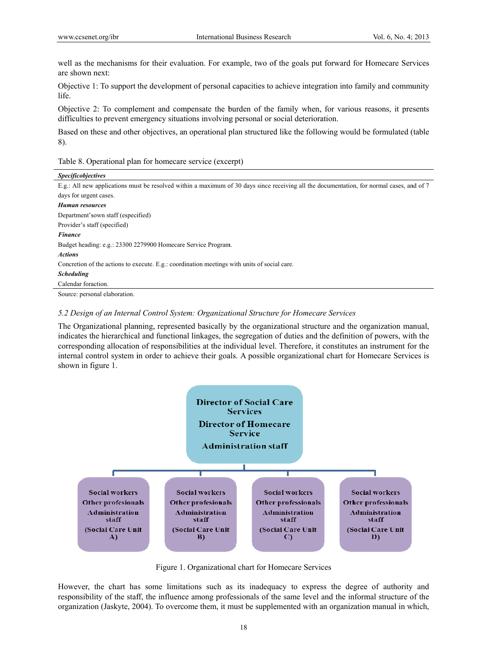well as the mechanisms for their evaluation. For example, two of the goals put forward for Homecare Services are shown next:

Objective 1: To support the development of personal capacities to achieve integration into family and community life.

Objective 2: To complement and compensate the burden of the family when, for various reasons, it presents difficulties to prevent emergency situations involving personal or social deterioration.

Based on these and other objectives, an operational plan structured like the following would be formulated (table 8).

Table 8. Operational plan for homecare service (excerpt)

#### $S$ *pecificobjectives*

| E.g.: All new applications must be resolved within a maximum of 30 days since receiving all the documentation, for normal cases, and of 7 |
|-------------------------------------------------------------------------------------------------------------------------------------------|
| days for urgent cases.                                                                                                                    |
| Human resources                                                                                                                           |
| Department'sown staff (especified)                                                                                                        |
| Provider's staff (specified)                                                                                                              |
| <b>Finance</b>                                                                                                                            |
| Budget heading: e.g.: 23300 2279900 Homecare Service Program.                                                                             |
| <b>Actions</b>                                                                                                                            |
| Concretion of the actions to execute. E.g.: coordination meetings with units of social care.                                              |
| <b>Scheduling</b>                                                                                                                         |
| Calendar foraction.                                                                                                                       |
| Source: personal elaboration.                                                                                                             |
|                                                                                                                                           |

#### 5.2 Design of an Internal Control System: Organizational Structure for Homecare Services

The Organizational planning, represented basically by the organizational structure and the organization manual, indicates the hierarchical and functional linkages, the segregation of duties and the definition of powers, with the corresponding allocation of responsibilities at the individual level. Therefore, it constitutes an instrument for the internal control system in order to achieve their goals. A possible organizational chart for Homecare Services is shown in f figure 1.



Figure 1. Organizational chart for Homecare Services

However, the chart has some limitations such as its inadequacy to express the degree of authority and responsibility of the staff, the influence among professionals of the same level and the informal structure of the organization (Jaskyte, 2004). To overcome them, it must be supplemented with an organization manual in which,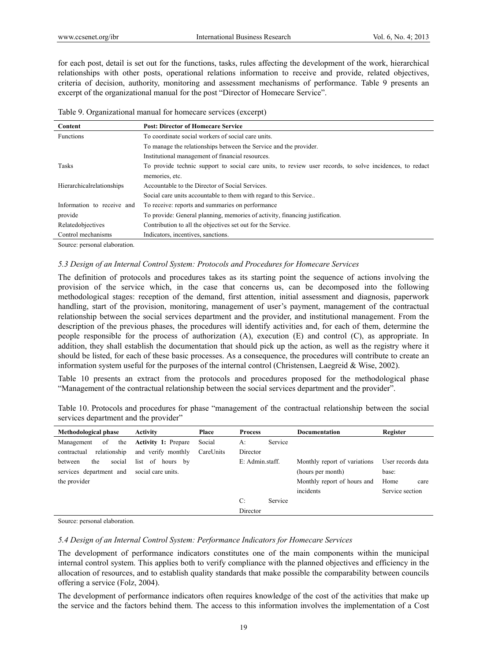for each post, detail is set out for the functions, tasks, rules affecting the development of the work, hierarchical relationships with other posts, operational relations information to receive and provide, related objectives, criteria of decision, authority, monitoring and assessment mechanisms of performance. Table 9 presents an excerpt of the organizational manual for the post "Director of Homecare Service".

| Table 9. Organizational manual for homecare services (excerpt) |  |  |
|----------------------------------------------------------------|--|--|

| Content                    | <b>Post: Director of Homecare Service</b>                                                               |
|----------------------------|---------------------------------------------------------------------------------------------------------|
| <b>Functions</b>           | To coordinate social workers of social care units.                                                      |
|                            | To manage the relationships between the Service and the provider.                                       |
|                            | Institutional management of financial resources.                                                        |
| Tasks                      | To provide technic support to social care units, to review user records, to solve incidences, to redact |
|                            | memories, etc.                                                                                          |
| Hierarchicalrelationships  | Accountable to the Director of Social Services.                                                         |
|                            | Social care units accountable to them with regard to this Service                                       |
| Information to receive and | To receive: reports and summaries on performance                                                        |
| provide                    | To provide: General planning, memories of activity, financing justification.                            |
| Relatedobjectives          | Contribution to all the objectives set out for the Service.                                             |
| Control mechanisms         | Indicators, incentives, sanctions.                                                                      |
|                            |                                                                                                         |

Source: personal elaboration.

# *5.3 Design of an Internal Control System: Protocols and Procedures for Homecare Services*

The definition of protocols and procedures takes as its starting point the sequence of actions involving the provision of the service which, in the case that concerns us, can be decomposed into the following methodological stages: reception of the demand, first attention, initial assessment and diagnosis, paperwork handling, start of the provision, monitoring, management of user's payment, management of the contractual relationship between the social services department and the provider, and institutional management. From the description of the previous phases, the procedures will identify activities and, for each of them, determine the people responsible for the process of authorization (A), execution (E) and control (C), as appropriate. In addition, they shall establish the documentation that should pick up the action, as well as the registry where it should be listed, for each of these basic processes. As a consequence, the procedures will contribute to create an information system useful for the purposes of the internal control (Christensen, Laegreid & Wise, 2002).

Table 10 presents an extract from the protocols and procedures proposed for the methodological phase "Management of the contractual relationship between the social services department and the provider".

| Table 10. Protocols and procedures for phase "management of the contractual relationship between the social |  |  |  |  |
|-------------------------------------------------------------------------------------------------------------|--|--|--|--|
| services department and the provider"                                                                       |  |  |  |  |

| Methodological phase        | <b>Activity</b>            | Place     | <b>Process</b>  |         | Documentation                | Register          |
|-----------------------------|----------------------------|-----------|-----------------|---------|------------------------------|-------------------|
| of<br>the<br>Management     | <b>Activity 1: Prepare</b> | Social    | A:              | Service |                              |                   |
| relationship<br>contractual | and verify monthly         | CareUnits | Director        |         |                              |                   |
| the<br>social<br>between    | list<br>of<br>hours by     |           | E: Admin.staff. |         | Monthly report of variations | User records data |
| services department and     | social care units.         |           |                 |         | (hours per month)            | base:             |
| the provider                |                            |           |                 |         | Monthly report of hours and  | Home<br>care      |
|                             |                            |           |                 |         | incidents                    | Service section   |
|                             |                            |           | C:              | Service |                              |                   |
|                             |                            |           | Director        |         |                              |                   |

Source: personal elaboration.

## *5.4 Design of an Internal Control System: Performance Indicators for Homecare Services*

The development of performance indicators constitutes one of the main components within the municipal internal control system. This applies both to verify compliance with the planned objectives and efficiency in the allocation of resources, and to establish quality standards that make possible the comparability between councils offering a service (Folz, 2004).

The development of performance indicators often requires knowledge of the cost of the activities that make up the service and the factors behind them. The access to this information involves the implementation of a Cost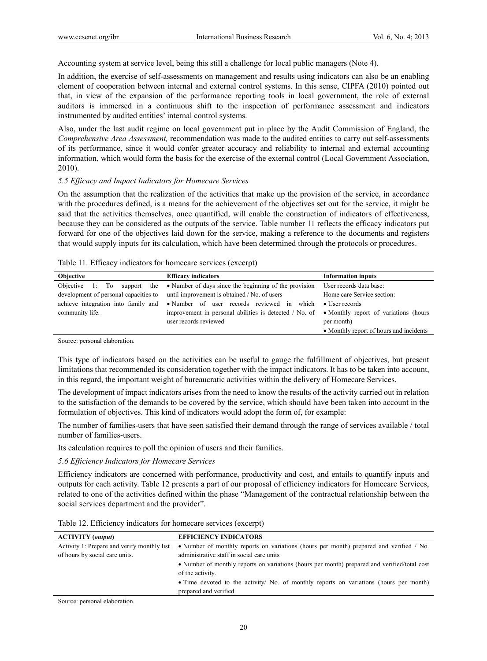Accounting system at service level, being this still a challenge for local public managers (Note 4).

In addition, the exercise of self-assessments on management and results using indicators can also be an enabling element of cooperation between internal and external control systems. In this sense, CIPFA (2010) pointed out that, in view of the expansion of the performance reporting tools in local government, the role of external auditors is immersed in a continuous shift to the inspection of performance assessment and indicators instrumented by audited entities' internal control systems.

Also, under the last audit regime on local government put in place by the Audit Commission of England, the *Comprehensive Area Assessment,* recommendation was made to the audited entities to carry out self-assessments of its performance, since it would confer greater accuracy and reliability to internal and external accounting information, which would form the basis for the exercise of the external control (Local Government Association, 2010).

#### *5.5 Efficacy and Impact Indicators for Homecare Services*

On the assumption that the realization of the activities that make up the provision of the service, in accordance with the procedures defined, is a means for the achievement of the objectives set out for the service, it might be said that the activities themselves, once quantified, will enable the construction of indicators of effectiveness, because they can be considered as the outputs of the service. Table number 11 reflects the efficacy indicators put forward for one of the objectives laid down for the service, making a reference to the documents and registers that would supply inputs for its calculation, which have been determined through the protocols or procedures.

|  | Table 11. Efficacy indicators for homecare services (excerpt) |  |  |  |
|--|---------------------------------------------------------------|--|--|--|
|  |                                                               |  |  |  |

| <b>Objective</b>                                                                                                        | <b>Efficacy indicators</b>                                                                | <b>Information inputs</b>               |
|-------------------------------------------------------------------------------------------------------------------------|-------------------------------------------------------------------------------------------|-----------------------------------------|
|                                                                                                                         | Objective 1: To support the $\bullet$ Number of days since the beginning of the provision | User records data base:                 |
| development of personal capacities to                                                                                   | until improvement is obtained / No. of users                                              | Home care Service section:              |
| achieve integration into family and                                                                                     | • Number of user records reviewed in which • User records                                 |                                         |
| improvement in personal abilities is detected / No. of $\bullet$ Monthly report of variations (hours<br>community life. |                                                                                           |                                         |
|                                                                                                                         | user records reviewed                                                                     | per month)                              |
|                                                                                                                         |                                                                                           | • Monthly report of hours and incidents |

Source: personal elaboration.

This type of indicators based on the activities can be useful to gauge the fulfillment of objectives, but present limitations that recommended its consideration together with the impact indicators. It has to be taken into account, in this regard, the important weight of bureaucratic activities within the delivery of Homecare Services.

The development of impact indicators arises from the need to know the results of the activity carried out in relation to the satisfaction of the demands to be covered by the service, which should have been taken into account in the formulation of objectives. This kind of indicators would adopt the form of, for example:

The number of families-users that have seen satisfied their demand through the range of services available / total number of families-users.

Its calculation requires to poll the opinion of users and their families.

#### *5.6 Efficiency Indicators for Homecare Services*

Efficiency indicators are concerned with performance, productivity and cost, and entails to quantify inputs and outputs for each activity. Table 12 presents a part of our proposal of efficiency indicators for Homecare Services, related to one of the activities defined within the phase "Management of the contractual relationship between the social services department and the provider".

| Table 12. Efficiency indicators for nomecare services (excerpt) |  |
|-----------------------------------------------------------------|--|
|                                                                 |  |

 $T<sub>1</sub>11<sub>2</sub>$ ,  $T<sub>2</sub>$  Efficiency indicators for homecare services (excernt)

| <b>ACTIVITY</b> ( <i>output</i> )           | <b>EFFICIENCY INDICATORS</b>                                                                 |
|---------------------------------------------|----------------------------------------------------------------------------------------------|
| Activity 1: Prepare and verify monthly list | • Number of monthly reports on variations (hours per month) prepared and verified / No.      |
| of hours by social care units.              | administrative staff in social care units                                                    |
|                                             | • Number of monthly reports on variations (hours per month) prepared and verified/total cost |
|                                             | of the activity.                                                                             |
|                                             | • Time devoted to the activity/ No. of monthly reports on variations (hours per month)       |
|                                             | prepared and verified.                                                                       |
|                                             |                                                                                              |

Source: personal elaboration.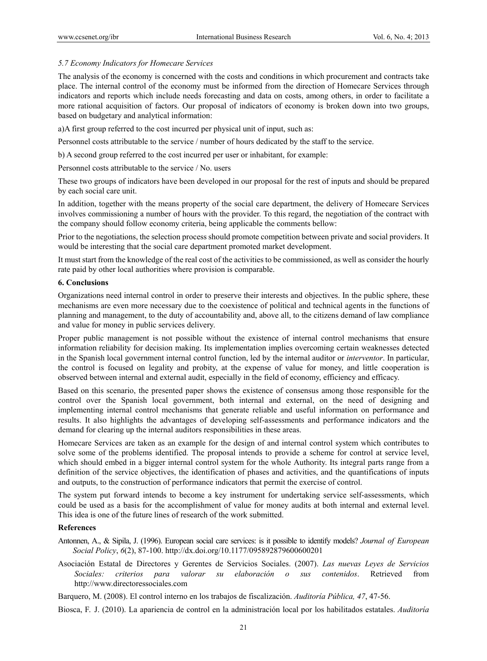# *5.7 Economy Indicators for Homecare Services*

The analysis of the economy is concerned with the costs and conditions in which procurement and contracts take place. The internal control of the economy must be informed from the direction of Homecare Services through indicators and reports which include needs forecasting and data on costs, among others, in order to facilitate a more rational acquisition of factors. Our proposal of indicators of economy is broken down into two groups, based on budgetary and analytical information:

a)A first group referred to the cost incurred per physical unit of input, such as:

Personnel costs attributable to the service / number of hours dedicated by the staff to the service.

b) A second group referred to the cost incurred per user or inhabitant, for example:

Personnel costs attributable to the service / No. users

These two groups of indicators have been developed in our proposal for the rest of inputs and should be prepared by each social care unit.

In addition, together with the means property of the social care department, the delivery of Homecare Services involves commissioning a number of hours with the provider. To this regard, the negotiation of the contract with the company should follow economy criteria, being applicable the comments bellow:

Prior to the negotiations, the selection process should promote competition between private and social providers. It would be interesting that the social care department promoted market development.

It must start from the knowledge of the real cost of the activities to be commissioned, as well as consider the hourly rate paid by other local authorities where provision is comparable.

#### **6. Conclusions**

Organizations need internal control in order to preserve their interests and objectives. In the public sphere, these mechanisms are even more necessary due to the coexistence of political and technical agents in the functions of planning and management, to the duty of accountability and, above all, to the citizens demand of law compliance and value for money in public services delivery.

Proper public management is not possible without the existence of internal control mechanisms that ensure information reliability for decision making. Its implementation implies overcoming certain weaknesses detected in the Spanish local government internal control function, led by the internal auditor or *interventor*. In particular, the control is focused on legality and probity, at the expense of value for money, and little cooperation is observed between internal and external audit, especially in the field of economy, efficiency and efficacy.

Based on this scenario, the presented paper shows the existence of consensus among those responsible for the control over the Spanish local government, both internal and external, on the need of designing and implementing internal control mechanisms that generate reliable and useful information on performance and results. It also highlights the advantages of developing self-assessments and performance indicators and the demand for clearing up the internal auditors responsibilities in these areas.

Homecare Services are taken as an example for the design of and internal control system which contributes to solve some of the problems identified. The proposal intends to provide a scheme for control at service level, which should embed in a bigger internal control system for the whole Authority. Its integral parts range from a definition of the service objectives, the identification of phases and activities, and the quantifications of inputs and outputs, to the construction of performance indicators that permit the exercise of control.

The system put forward intends to become a key instrument for undertaking service self-assessments, which could be used as a basis for the accomplishment of value for money audits at both internal and external level. This idea is one of the future lines of research of the work submitted.

#### **References**

Antonnen, A., & Sipila, J. (1996). European social care services: is it possible to identify models? *Journal of European Social Policy*, *6*(2), 87-100. http://dx.doi.org/10.1177/095892879600600201

Asociación Estatal de Directores y Gerentes de Servicios Sociales. (2007). *Las nuevas Leyes de Servicios Sociales: criterios para valorar su elaboración o sus contenidos*. Retrieved from http://www.directoressociales.com

Barquero, M. (2008). El control interno en los trabajos de fiscalización. *Auditoría Pública, 47*, 47-56.

Biosca, F. J. (2010). La apariencia de control en la administración local por los habilitados estatales. *Auditoría*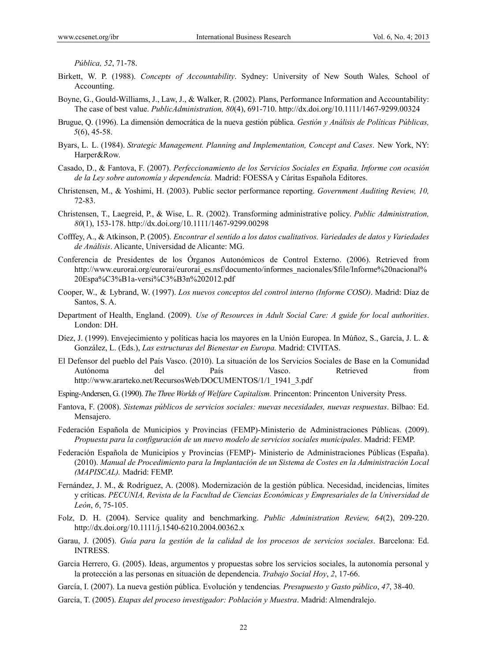*Pública, 52*, 71-78.

- Birkett, W. P. (1988). *Concepts of Accountability*. Sydney: University of New South Wales*,* School of Accounting.
- Boyne, G., Gould-Williams, J., Law, J., & Walker, R. (2002). Plans, Performance Information and Accountability: The case of best value. *PublicAdministration, 80*(4), 691-710. http://dx.doi.org/10.1111/1467-9299.00324
- Brugue, Q. (1996). La dimensión democrática de la nueva gestión pública. *Gestión y Análisis de Políticas Públicas, 5*(6), 45-58.
- Byars, L. L. (1984). *Strategic Management. Planning and Implementation, Concept and Cases*. New York, NY: Harper&Row.
- Casado, D., & Fantova, F. (2007). *Perfeccionamiento de los Servicios Sociales en España. Informe con ocasión de la Ley sobre autonomía y dependencia.* Madrid: FOESSA y Cáritas Española Editores.
- Christensen, M., & Yoshimi, H. (2003). Public sector performance reporting. *Government Auditing Review, 10,*  72-83.
- Christensen, T., Laegreid, P., & Wise, L. R. (2002). Transforming administrative policy. *Public Administration, 80*(1), 153-178. http://dx.doi.org/10.1111/1467-9299.00298
- Cofffey, A., & Atkinson, P. (2005). *Encontrar el sentido a los datos cualitativos. Variedades de datos y Variedades de Análisis*. Alicante, Universidad de Alicante: MG.
- Conferencia de Presidentes de los Órganos Autonómicos de Control Externo. (2006). Retrieved from http://www.eurorai.org/eurorai/eurorai\_es.nsf/documento/informes\_nacionales/\$file/Informe%20nacional% 20Espa%C3%B1a-versi%C3%B3n%202012.pdf
- Cooper, W., & Lybrand, W. (1997). *Los nuevos conceptos del control interno (Informe COSO)*. Madrid: Díaz de Santos, S. A.
- Department of Health, England. (2009). *Use of Resources in Adult Social Care: A guide for local authorities*. London: DH.
- Díez, J. (1999). Envejecimiento y políticas hacia los mayores en la Unión Europea. In Múñoz, S., García, J. L. & González, L. (Eds.), *Las estructuras del Bienestar en Europa.* Madrid: CIVITAS.
- El Defensor del pueblo del País Vasco. (2010). La situación de los Servicios Sociales de Base en la Comunidad Autónoma del País Vasco. Retrieved from http://www.ararteko.net/RecursosWeb/DOCUMENTOS/1/1\_1941\_3.pdf
- Esping-Andersen, G. (1990). *The Three Worlds of Welfare Capitalism.* Princenton: Princenton University Press.
- Fantova, F. (2008). *Sistemas públicos de servicios sociales: nuevas necesidades, nuevas respuestas*. Bilbao: Ed. Mensajero.
- Federación Española de Municipios y Provincias (FEMP)-Ministerio de Administraciones Públicas. (2009). *Propuesta para la configuración de un nuevo modelo de servicios sociales municipales*. Madrid: FEMP.
- Federación Española de Municipios y Provincias (FEMP)- Ministerio de Administraciones Públicas (España). (2010). *Manual de Procedimiento para la Implantación de un Sistema de Costes en la Administración Local (MAPISCAL).* Madrid: FEMP.
- Fernández, J. M., & Rodríguez, A. (2008). Modernización de la gestión pública. Necesidad, incidencias, límites y críticas. *PECUNIA, Revista de la Facultad de Ciencias Económicas y Empresariales de la Universidad de León*, *6*, 75-105.
- Folz, D. H. (2004). Service quality and benchmarking. *Public Administration Review, 64*(2), 209-220. http://dx.doi.org/10.1111/j.1540-6210.2004.00362.x
- Garau, J. (2005). *Guía para la gestión de la calidad de los procesos de servicios sociales*. Barcelona: Ed. INTRESS.
- Garcia Herrero, G. (2005). Ideas, argumentos y propuestas sobre los servicios sociales, la autonomía personal y la protección a las personas en situación de dependencia. *Trabajo Social Hoy*, *2*, 17-66.
- García, I. (2007). La nueva gestión pública. Evolución y tendencias*. Presupuesto y Gasto público*, *47*, 38-40.
- García, T. (2005). *Etapas del proceso investigador: Población y Muestra*. Madrid: Almendralejo.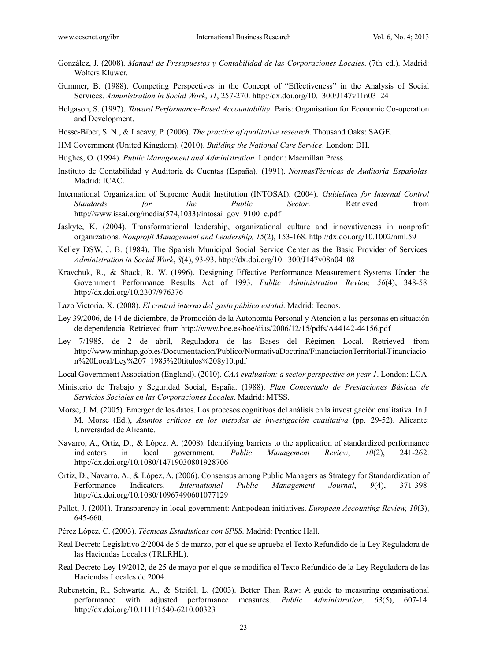- González, J. (2008). *Manual de Presupuestos y Contabilidad de las Corporaciones Locales*. (7th ed.). Madrid: Wolters Kluwer.
- Gummer, B. (1988). Competing Perspectives in the Concept of "Effectiveness" in the Analysis of Social Services. *Administration in Social Work*, *11*, 257-270. http://dx.doi.org/10.1300/J147v11n03\_24
- Helgason, S. (1997). *Toward Performance-Based Accountability*. Paris: Organisation for Economic Co-operation and Development.
- Hesse-Biber, S. N., & Laeavy, P. (2006). *The practice of qualitative research*. Thousand Oaks: SAGE.
- HM Government (United Kingdom). (2010). *Building the National Care Service*. London: DH.
- Hughes, O. (1994). *Public Management and Administration.* London: Macmillan Press.
- Instituto de Contabilidad y Auditoría de Cuentas (España). (1991). *NormasTécnicas de Auditoría Españolas*. Madrid: ICAC.
- International Organization of Supreme Audit Institution (INTOSAI). (2004). *Guidelines for Internal Control Standards for the Public Sector*. Retrieved from http://www.issai.org/media(574,1033)/intosai\_gov\_9100\_e.pdf
- Jaskyte, K. (2004). Transformational leadership, organizational culture and innovativeness in nonprofit organizations. *Nonprofit Management and Leadership, 15*(2), 153-168. http://dx.doi.org/10.1002/nml.59
- Kelley DSW, J. B. (1984). The Spanish Municipal Social Service Center as the Basic Provider of Services. *Administration in Social Work*, *8*(4), 93-93. http://dx.doi.org/10.1300/J147v08n04\_08
- Kravchuk, R., & Shack, R. W. (1996). Designing Effective Performance Measurement Systems Under the Government Performance Results Act of 1993. *Public Administration Review, 56*(4), 348-58. http://dx.doi.org/10.2307/976376
- Lazo Victoria, X. (2008). *El control interno del gasto público estatal*. Madrid: Tecnos.
- Ley 39/2006, de 14 de diciembre, de Promoción de la Autonomía Personal y Atención a las personas en situación de dependencia. Retrieved from http://www.boe.es/boe/dias/2006/12/15/pdfs/A44142-44156.pdf
- Ley 7/1985, de 2 de abril, Reguladora de las Bases del Régimen Local. Retrieved from http://www.minhap.gob.es/Documentacion/Publico/NormativaDoctrina/FinanciacionTerritorial/Financiacio n%20Local/Ley%207\_1985%20titulos%208y10.pdf
- Local Government Association (England). (2010). *CAA evaluation: a sector perspective on year 1*. London: LGA.
- Ministerio de Trabajo y Seguridad Social, España. (1988). *Plan Concertado de Prestaciones Básicas de Servicios Sociales en las Corporaciones Locales*. Madrid: MTSS.
- Morse, J. M. (2005). Emerger de los datos. Los procesos cognitivos del análisis en la investigación cualitativa. In J. M. Morse (Ed.), *Asuntos críticos en los métodos de investigación cualitativa* (pp. 29-52). Alicante: Universidad de Alicante.
- Navarro, A., Ortiz, D., & López, A. (2008). Identifying barriers to the application of standardized performance indicators in local government. *Public Management Review*, *10*(2), 241-262. http://dx.doi.org/10.1080/14719030801928706
- Ortiz, D., Navarro, A., & López, A. (2006). Consensus among Public Managers as Strategy for Standardization of Performance Indicators. *International Public Management Journal*, *9*(4), 371-398. http://dx.doi.org/10.1080/10967490601077129
- Pallot, J. (2001). Transparency in local government: Antipodean initiatives. *European Accounting Review, 10*(3), 645-660.
- Pérez López, C. (2003). *Técnicas Estadísticas con SPSS*. Madrid: Prentice Hall.
- Real Decreto Legislativo 2/2004 de 5 de marzo, por el que se aprueba el Texto Refundido de la Ley Reguladora de las Haciendas Locales (TRLRHL).
- Real Decreto Ley 19/2012, de 25 de mayo por el que se modifica el Texto Refundido de la Ley Reguladora de las Haciendas Locales de 2004.
- Rubenstein, R., Schwartz, A., & Steifel, L. (2003). Better Than Raw: A guide to measuring organisational performance with adjusted performance measures. *Public Administration, 63*(5), 607-14. http://dx.doi.org/10.1111/1540-6210.00323